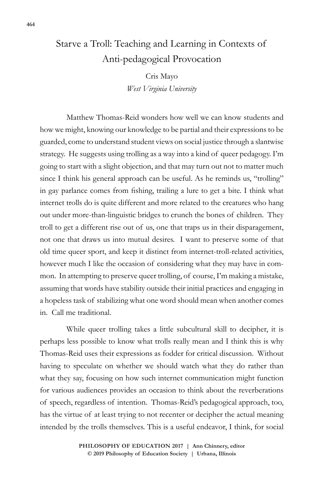## Starve a Troll: Teaching and Learning in Contexts of Anti-pedagogical Provocation

Cris Mayo *West Virginia University*

Matthew Thomas-Reid wonders how well we can know students and how we might, knowing our knowledge to be partial and their expressions to be guarded, come to understand student views on social justice through a slantwise strategy. He suggests using trolling as a way into a kind of queer pedagogy. I'm going to start with a slight objection, and that may turn out not to matter much since I think his general approach can be useful. As he reminds us, "trolling" in gay parlance comes from fishing, trailing a lure to get a bite. I think what internet trolls do is quite different and more related to the creatures who hang out under more-than-linguistic bridges to crunch the bones of children. They troll to get a different rise out of us, one that traps us in their disparagement, not one that draws us into mutual desires. I want to preserve some of that old time queer sport, and keep it distinct from internet-troll-related activities, however much I like the occasion of considering what they may have in common. In attempting to preserve queer trolling, of course, I'm making a mistake, assuming that words have stability outside their initial practices and engaging in a hopeless task of stabilizing what one word should mean when another comes in. Call me traditional.

While queer trolling takes a little subcultural skill to decipher, it is perhaps less possible to know what trolls really mean and I think this is why Thomas-Reid uses their expressions as fodder for critical discussion. Without having to speculate on whether we should watch what they do rather than what they say, focusing on how such internet communication might function for various audiences provides an occasion to think about the reverberations of speech, regardless of intention. Thomas-Reid's pedagogical approach, too, has the virtue of at least trying to not recenter or decipher the actual meaning intended by the trolls themselves. This is a useful endeavor, I think, for social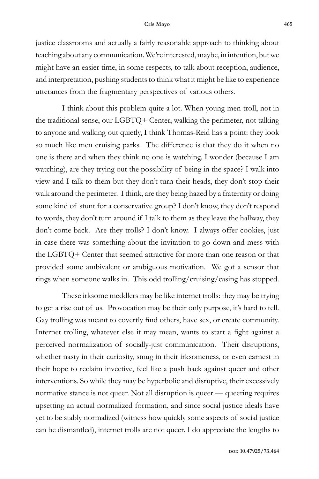justice classrooms and actually a fairly reasonable approach to thinking about teaching about any communication. We're interested, maybe, in intention, but we might have an easier time, in some respects, to talk about reception, audience, and interpretation, pushing students to think what it might be like to experience utterances from the fragmentary perspectives of various others.

I think about this problem quite a lot. When young men troll, not in the traditional sense, our LGBTQ+ Center, walking the perimeter, not talking to anyone and walking out quietly, I think Thomas-Reid has a point: they look so much like men cruising parks. The difference is that they do it when no one is there and when they think no one is watching. I wonder (because I am watching), are they trying out the possibility of being in the space? I walk into view and I talk to them but they don't turn their heads, they don't stop their walk around the perimeter. I think, are they being hazed by a fraternity or doing some kind of stunt for a conservative group? I don't know, they don't respond to words, they don't turn around if I talk to them as they leave the hallway, they don't come back. Are they trolls? I don't know. I always offer cookies, just in case there was something about the invitation to go down and mess with the LGBTQ+ Center that seemed attractive for more than one reason or that provided some ambivalent or ambiguous motivation. We got a sensor that rings when someone walks in. This odd trolling/cruising/casing has stopped.

These irksome meddlers may be like internet trolls: they may be trying to get a rise out of us. Provocation may be their only purpose, it's hard to tell. Gay trolling was meant to covertly find others, have sex, or create community. Internet trolling, whatever else it may mean, wants to start a fight against a perceived normalization of socially-just communication. Their disruptions, whether nasty in their curiosity, smug in their irksomeness, or even earnest in their hope to reclaim invective, feel like a push back against queer and other interventions. So while they may be hyperbolic and disruptive, their excessively normative stance is not queer. Not all disruption is queer — queering requires upsetting an actual normalized formation, and since social justice ideals have yet to be stably normalized (witness how quickly some aspects of social justice can be dismantled), internet trolls are not queer. I do appreciate the lengths to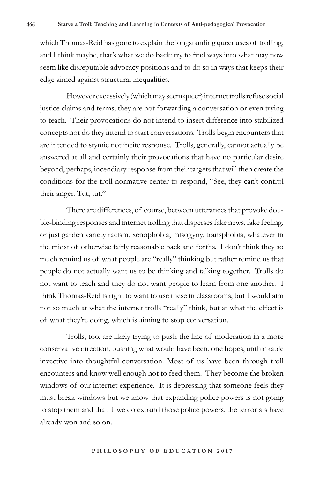which Thomas-Reid has gone to explain the longstanding queer uses of trolling, and I think maybe, that's what we do back: try to find ways into what may now seem like disreputable advocacy positions and to do so in ways that keeps their edge aimed against structural inequalities.

However excessively (which may seem queer) internet trolls refuse social justice claims and terms, they are not forwarding a conversation or even trying to teach. Their provocations do not intend to insert difference into stabilized concepts nor do they intend to start conversations. Trolls begin encounters that are intended to stymie not incite response. Trolls, generally, cannot actually be answered at all and certainly their provocations that have no particular desire beyond, perhaps, incendiary response from their targets that will then create the conditions for the troll normative center to respond, "See, they can't control their anger. Tut, tut."

There are differences, of course, between utterances that provoke double-binding responses and internet trolling that disperses fake news, fake feeling, or just garden variety racism, xenophobia, misogyny, transphobia, whatever in the midst of otherwise fairly reasonable back and forths. I don't think they so much remind us of what people are "really" thinking but rather remind us that people do not actually want us to be thinking and talking together. Trolls do not want to teach and they do not want people to learn from one another. I think Thomas-Reid is right to want to use these in classrooms, but I would aim not so much at what the internet trolls "really" think, but at what the effect is of what they're doing, which is aiming to stop conversation.

Trolls, too, are likely trying to push the line of moderation in a more conservative direction, pushing what would have been, one hopes, unthinkable invective into thoughtful conversation. Most of us have been through troll encounters and know well enough not to feed them. They become the broken windows of our internet experience. It is depressing that someone feels they must break windows but we know that expanding police powers is not going to stop them and that if we do expand those police powers, the terrorists have already won and so on.